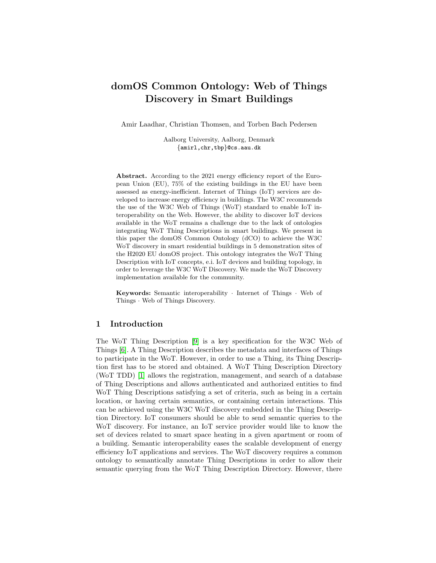# domOS Common Ontology: Web of Things Discovery in Smart Buildings

Amir Laadhar, Christian Thomsen, and Torben Bach Pedersen

Aalborg University, Aalborg, Denmark {amirl,chr,tbp}@cs.aau.dk

Abstract. According to the 2021 energy efficiency report of the European Union (EU), 75% of the existing buildings in the EU have been assessed as energy-inefficient. Internet of Things (IoT) services are developed to increase energy efficiency in buildings. The W3C recommends the use of the W3C Web of Things (WoT) standard to enable IoT interoperability on the Web. However, the ability to discover IoT devices available in the WoT remains a challenge due to the lack of ontologies integrating WoT Thing Descriptions in smart buildings. We present in this paper the domOS Common Ontology (dCO) to achieve the W3C WoT discovery in smart residential buildings in 5 demonstration sites of the H2020 EU domOS project. This ontology integrates the WoT Thing Description with IoT concepts, e.i. IoT devices and building topology, in order to leverage the W3C WoT Discovery. We made the WoT Discovery implementation available for the community.

Keywords: Semantic interoperability · Internet of Things · Web of Things · Web of Things Discovery.

#### 1 Introduction

The WoT Thing Description [\[9\]](#page-4-0) is a key specification for the W3C Web of Things [\[6\]](#page-4-1). A Thing Description describes the metadata and interfaces of Things to participate in the WoT. However, in order to use a Thing, its Thing Description first has to be stored and obtained. A WoT Thing Description Directory (WoT TDD) [\[1\]](#page-4-2) allows the registration, management, and search of a database of Thing Descriptions and allows authenticated and authorized entities to find WoT Thing Descriptions satisfying a set of criteria, such as being in a certain location, or having certain semantics, or containing certain interactions. This can be achieved using the W3C WoT discovery embedded in the Thing Description Directory. IoT consumers should be able to send semantic queries to the WoT discovery. For instance, an IoT service provider would like to know the set of devices related to smart space heating in a given apartment or room of a building. Semantic interoperability eases the scalable development of energy efficiency IoT applications and services. The WoT discovery requires a common ontology to semantically annotate Thing Descriptions in order to allow their semantic querying from the WoT Thing Description Directory. However, there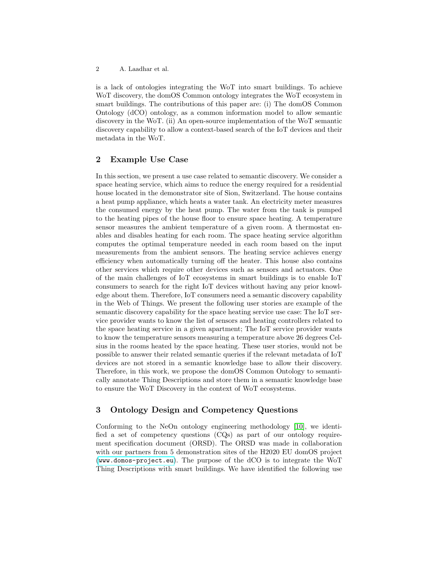2 A. Laadhar et al.

is a lack of ontologies integrating the WoT into smart buildings. To achieve WoT discovery, the domOS Common ontology integrates the WoT ecosystem in smart buildings. The contributions of this paper are: (i) The domOS Common Ontology (dCO) ontology, as a common information model to allow semantic discovery in the WoT. (ii) An open-source implementation of the WoT semantic discovery capability to allow a context-based search of the IoT devices and their metadata in the WoT.

### 2 Example Use Case

In this section, we present a use case related to semantic discovery. We consider a space heating service, which aims to reduce the energy required for a residential house located in the demonstrator site of Sion, Switzerland. The house contains a heat pump appliance, which heats a water tank. An electricity meter measures the consumed energy by the heat pump. The water from the tank is pumped to the heating pipes of the house floor to ensure space heating. A temperature sensor measures the ambient temperature of a given room. A thermostat enables and disables heating for each room. The space heating service algorithm computes the optimal temperature needed in each room based on the input measurements from the ambient sensors. The heating service achieves energy efficiency when automatically turning off the heater. This house also contains other services which require other devices such as sensors and actuators. One of the main challenges of IoT ecosystems in smart buildings is to enable IoT consumers to search for the right IoT devices without having any prior knowledge about them. Therefore, IoT consumers need a semantic discovery capability in the Web of Things. We present the following user stories are example of the semantic discovery capability for the space heating service use case: The IoT service provider wants to know the list of sensors and heating controllers related to the space heating service in a given apartment; The IoT service provider wants to know the temperature sensors measuring a temperature above 26 degrees Celsius in the rooms heated by the space heating. These user stories, would not be possible to answer their related semantic queries if the relevant metadata of IoT devices are not stored in a semantic knowledge base to allow their discovery. Therefore, in this work, we propose the domOS Common Ontology to semantically annotate Thing Descriptions and store them in a semantic knowledge base to ensure the WoT Discovery in the context of WoT ecosystems.

## 3 Ontology Design and Competency Questions

Conforming to the NeOn ontology engineering methodology [\[10\]](#page-4-3), we identified a set of competency questions (CQs) as part of our ontology requirement specification document (ORSD). The ORSD was made in collaboration with our partners from 5 demonstration sites of the H2020 EU domOS project (<www.domos-project.eu>). The purpose of the dCO is to integrate the WoT Thing Descriptions with smart buildings. We have identified the following use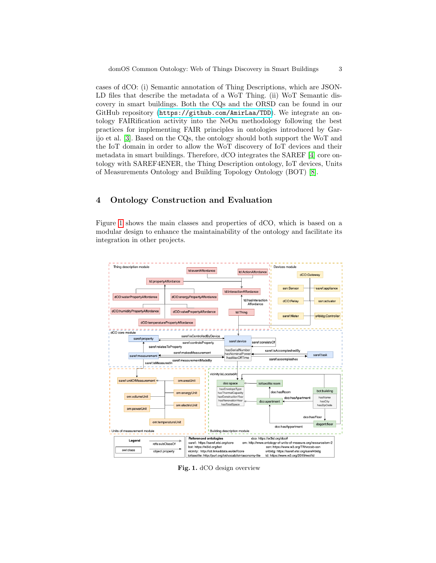cases of dCO: (i) Semantic annotation of Thing Descriptions, which are JSON-LD files that describe the metadata of a WoT Thing. (ii) WoT Semantic discovery in smart buildings. Both the CQs and the ORSD can be found in our GitHub repository (<https://github.com/AmirLaa/TDD>). We integrate an ontology FAIRification activity into the NeOn methodology following the best practices for implementing FAIR principles in ontologies introduced by Garijo et al. [\[3\]](#page-4-4). Based on the CQs, the ontology should both support the WoT and the IoT domain in order to allow the WoT discovery of IoT devices and their metadata in smart buildings. Therefore, dCO integrates the SAREF [\[4\]](#page-4-5) core ontology with SAREF4ENER, the Thing Description ontology, IoT devices, Units of Measurements Ontology and Building Topology Ontology (BOT) [\[8\]](#page-4-6).

### 4 Ontology Construction and Evaluation

Figure [1](#page-2-0) shows the main classes and properties of dCO, which is based on a modular design to enhance the maintainability of the ontology and facilitate its integration in other projects.



<span id="page-2-0"></span>Fig. 1. dCO design overview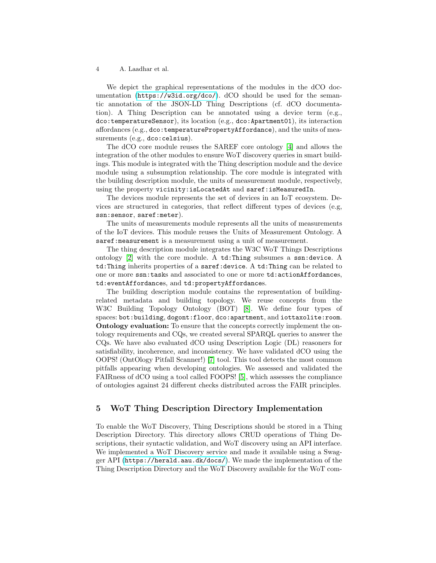#### 4 A. Laadhar et al.

We depict the graphical representations of the modules in the dCO documentation (<https://w3id.org/dco/>). dCO should be used for the semantic annotation of the JSON-LD Thing Descriptions (cf. dCO documentation). A Thing Description can be annotated using a device term (e.g., dco:temperatureSensor), its location (e.g., dco:Apartment01), its interaction affordances (e.g., dco:temperaturePropertyAffordance), and the units of measurements (e.g., dco: celsius).

The dCO core module reuses the SAREF core ontology [\[4\]](#page-4-5) and allows the integration of the other modules to ensure WoT discovery queries in smart buildings. This module is integrated with the Thing description module and the device module using a subsumption relationship. The core module is integrated with the building description module, the units of measurement module, respectively, using the property vicinity:isLocatedAt and saref:isMeasuredIn.

The devices module represents the set of devices in an IoT ecosystem. Devices are structured in categories, that reflect different types of devices (e.g, ssn:sensor, saref:meter).

The units of measurements module represents all the units of measurements of the IoT devices. This module reuses the Units of Measurement Ontology. A saref: measurement is a measurement using a unit of measurement.

The thing description module integrates the W3C WoT Things Descriptions ontology [\[2\]](#page-4-7) with the core module. A td:Thing subsumes a ssn:device. A td:Thing inherits properties of a saref:device. A td:Thing can be related to one or more ssn:tasks and associated to one or more td:actionAffordances, td:eventAffordances, and td:propertyAffordances.

The building description module contains the representation of buildingrelated metadata and building topology. We reuse concepts from the W3C Building Topology Ontology (BOT) [\[8\]](#page-4-6). We define four types of spaces: bot:building, dogont:floor, dco:apartment, and iottaxolite: room. Ontology evaluation: To ensure that the concepts correctly implement the ontology requirements and CQs, we created several SPARQL queries to answer the CQs. We have also evaluated dCO using Description Logic (DL) reasoners for satisfiability, incoherence, and inconsistency. We have validated dCO using the OOPS! (OntOlogy Pitfall Scanner!) [\[7\]](#page-4-8) tool. This tool detects the most common pitfalls appearing when developing ontologies. We assessed and validated the FAIRness of dCO using a tool called FOOPS! [\[5\]](#page-4-9), which assesses the compliance of ontologies against 24 different checks distributed across the FAIR principles.

### 5 WoT Thing Description Directory Implementation

To enable the WoT Discovery, Thing Descriptions should be stored in a Thing Description Directory. This directory allows CRUD operations of Thing Descriptions, their syntactic validation, and WoT discovery using an API interface. We implemented a WoT Discovery service and made it available using a Swagger API (<https://herald.aau.dk/docs/>). We made the implementation of the Thing Description Directory and the WoT Discovery available for the WoT com